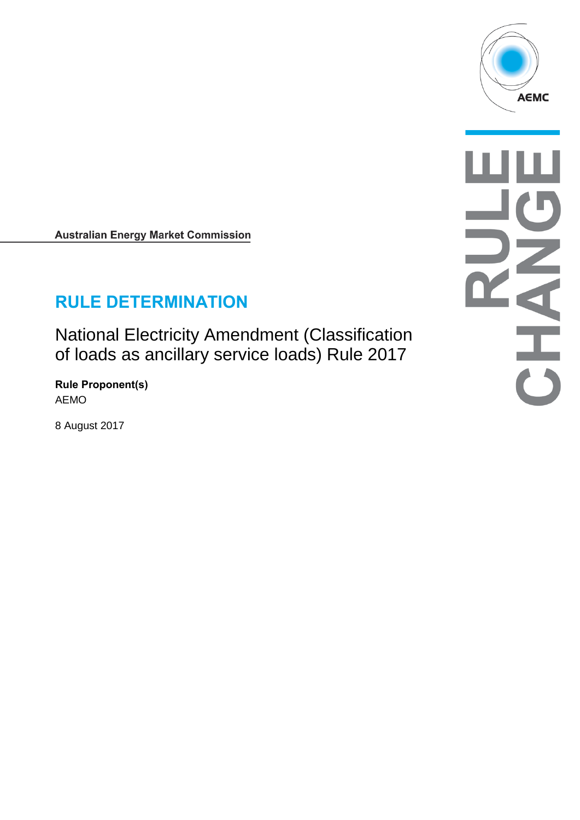

**Australian Energy Market Commission** 

# **RULE DETERMINATION**

National Electricity Amendment (Classification of loads as ancillary service loads) Rule 2017

**Rule Proponent(s)** AEMO

8 August 2017

 $\frac{1}{\sqrt{2}}$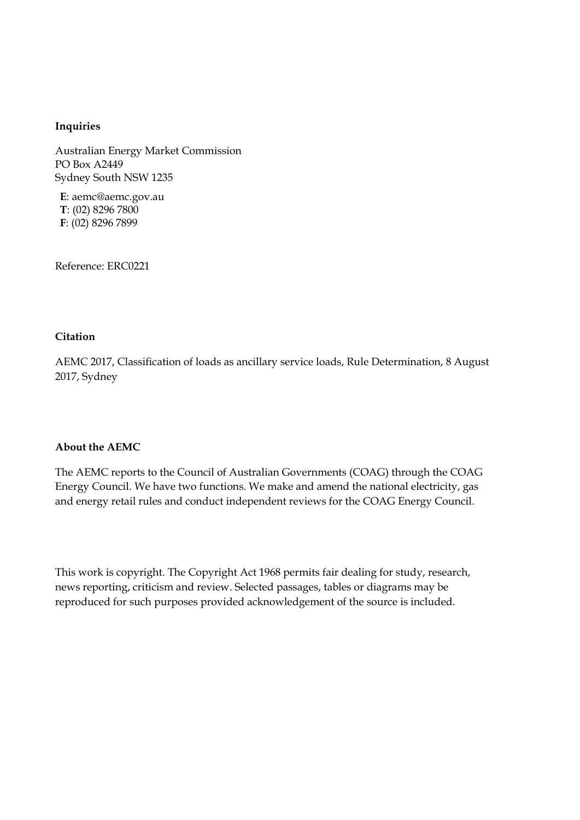#### **Inquiries**

Australian Energy Market Commission PO Box A2449 Sydney South NSW 1235

**E**: aemc@aemc.gov.au **T**: (02) 8296 7800 **F**: (02) 8296 7899

Reference: ERC0221

#### **Citation**

AEMC 2017, Classification of loads as ancillary service loads, Rule Determination, 8 August 2017, Sydney

#### **About the AEMC**

The AEMC reports to the Council of Australian Governments (COAG) through the COAG Energy Council. We have two functions. We make and amend the national electricity, gas and energy retail rules and conduct independent reviews for the COAG Energy Council.

This work is copyright. The Copyright Act 1968 permits fair dealing for study, research, news reporting, criticism and review. Selected passages, tables or diagrams may be reproduced for such purposes provided acknowledgement of the source is included.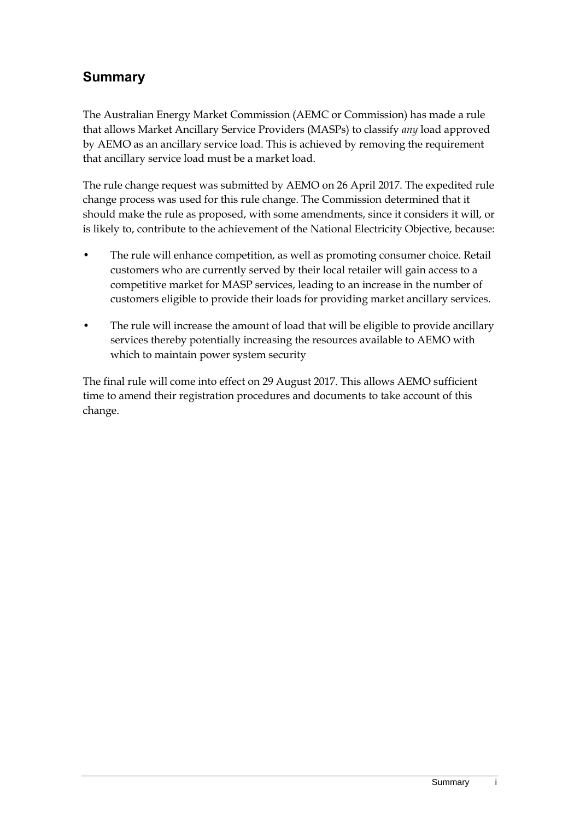## **Summary**

The Australian Energy Market Commission (AEMC or Commission) has made a rule that allows Market Ancillary Service Providers (MASPs) to classify *any* load approved by AEMO as an ancillary service load. This is achieved by removing the requirement that ancillary service load must be a market load.

The rule change request was submitted by AEMO on 26 April 2017. The expedited rule change process was used for this rule change. The Commission determined that it should make the rule as proposed, with some amendments, since it considers it will, or is likely to, contribute to the achievement of the National Electricity Objective, because:

- The rule will enhance competition, as well as promoting consumer choice. Retail customers who are currently served by their local retailer will gain access to a competitive market for MASP services, leading to an increase in the number of customers eligible to provide their loads for providing market ancillary services.
- The rule will increase the amount of load that will be eligible to provide ancillary services thereby potentially increasing the resources available to AEMO with which to maintain power system security

The final rule will come into effect on 29 August 2017. This allows AEMO sufficient time to amend their registration procedures and documents to take account of this change.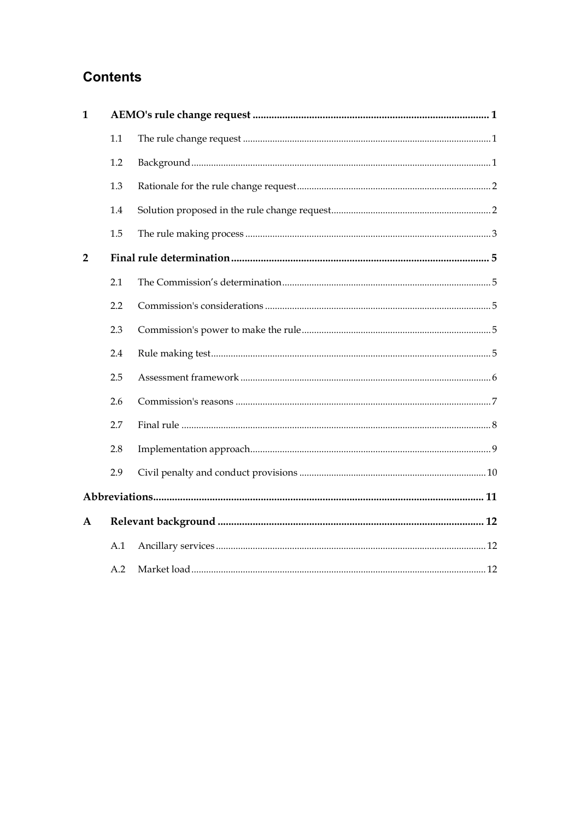### **Contents**

| $\mathbf{1}$   |     |  |  |  |
|----------------|-----|--|--|--|
|                | 1.1 |  |  |  |
|                | 1.2 |  |  |  |
|                | 1.3 |  |  |  |
|                | 1.4 |  |  |  |
|                | 1.5 |  |  |  |
| $\overline{2}$ |     |  |  |  |
|                | 2.1 |  |  |  |
|                | 2.2 |  |  |  |
|                | 2.3 |  |  |  |
|                | 2.4 |  |  |  |
|                | 2.5 |  |  |  |
|                | 2.6 |  |  |  |
|                | 2.7 |  |  |  |
|                | 2.8 |  |  |  |
|                | 2.9 |  |  |  |
|                |     |  |  |  |
| A              |     |  |  |  |
|                | A.1 |  |  |  |
|                | A.2 |  |  |  |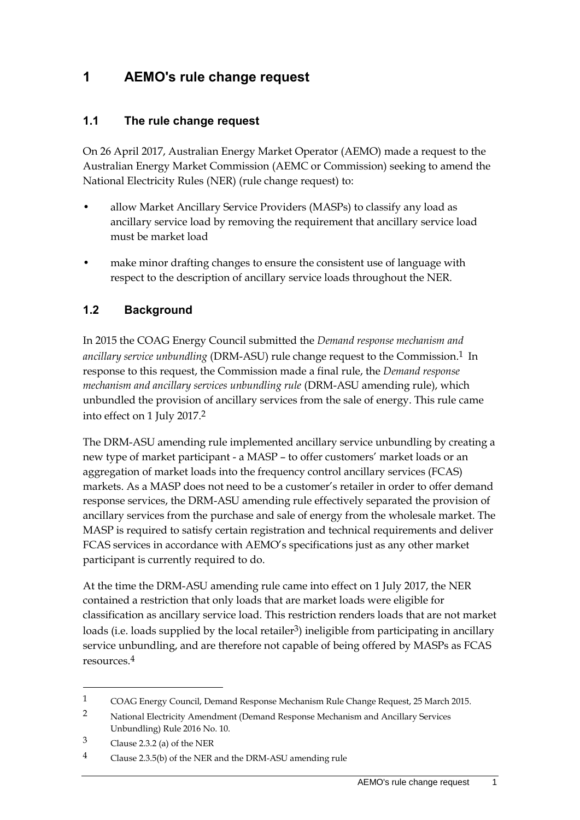### <span id="page-4-0"></span>**1 AEMO's rule change request**

#### <span id="page-4-1"></span>**1.1 The rule change request**

On 26 April 2017, Australian Energy Market Operator (AEMO) made a request to the Australian Energy Market Commission (AEMC or Commission) seeking to amend the National Electricity Rules (NER) (rule change request) to:

- allow Market Ancillary Service Providers (MASPs) to classify any load as ancillary service load by removing the requirement that ancillary service load must be market load
- make minor drafting changes to ensure the consistent use of language with respect to the description of ancillary service loads throughout the NER.

#### <span id="page-4-2"></span>**1.2 Background**

In 2015 the COAG Energy Council submitted the *Demand response mechanism and ancillary service unbundling* (DRM-ASU) rule change request to the Commission.<sup>1</sup> In response to this request, the Commission made a final rule, the *Demand response mechanism and ancillary services unbundling rule* (DRM-ASU amending rule), which unbundled the provision of ancillary services from the sale of energy. This rule came into effect on 1 July 2017.2

The DRM-ASU amending rule implemented ancillary service unbundling by creating a new type of market participant - a MASP – to offer customers' market loads or an aggregation of market loads into the frequency control ancillary services (FCAS) markets. As a MASP does not need to be a customer's retailer in order to offer demand response services, the DRM-ASU amending rule effectively separated the provision of ancillary services from the purchase and sale of energy from the wholesale market. The MASP is required to satisfy certain registration and technical requirements and deliver FCAS services in accordance with AEMO's specifications just as any other market participant is currently required to do.

At the time the DRM-ASU amending rule came into effect on 1 July 2017, the NER contained a restriction that only loads that are market loads were eligible for classification as ancillary service load. This restriction renders loads that are not market loads (i.e. loads supplied by the local retailer<sup>3</sup>) ineligible from participating in ancillary service unbundling, and are therefore not capable of being offered by MASPs as FCAS resources.4

<sup>1</sup> COAG Energy Council, Demand Response Mechanism Rule Change Request, 25 March 2015.

<sup>2</sup> National Electricity Amendment (Demand Response Mechanism and Ancillary Services Unbundling) Rule 2016 No. 10.

<sup>3</sup> Clause 2.3.2 (a) of the NER

<sup>4</sup> Clause 2.3.5(b) of the NER and the DRM-ASU amending rule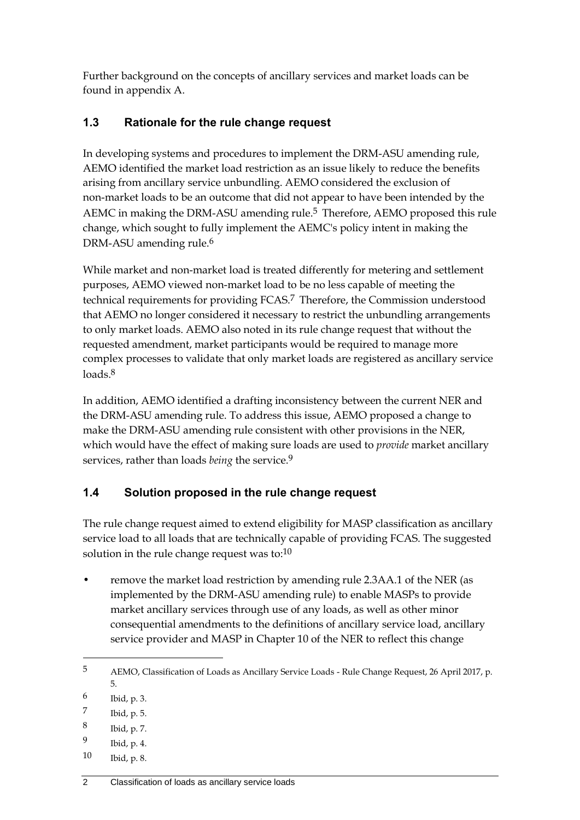Further background on the concepts of ancillary services and market loads can be found in appendix [A.](#page-15-0)

### <span id="page-5-0"></span>**1.3 Rationale for the rule change request**

In developing systems and procedures to implement the DRM-ASU amending rule, AEMO identified the market load restriction as an issue likely to reduce the benefits arising from ancillary service unbundling. AEMO considered the exclusion of non-market loads to be an outcome that did not appear to have been intended by the AEMC in making the DRM-ASU amending rule.<sup>5</sup> Therefore, AEMO proposed this rule change, which sought to fully implement the AEMC's policy intent in making the DRM-ASU amending rule.<sup>6</sup>

While market and non-market load is treated differently for metering and settlement purposes, AEMO viewed non-market load to be no less capable of meeting the technical requirements for providing FCAS.7 Therefore, the Commission understood that AEMO no longer considered it necessary to restrict the unbundling arrangements to only market loads. AEMO also noted in its rule change request that without the requested amendment, market participants would be required to manage more complex processes to validate that only market loads are registered as ancillary service loads.<sup>8</sup>

In addition, AEMO identified a drafting inconsistency between the current NER and the DRM-ASU amending rule. To address this issue, AEMO proposed a change to make the DRM-ASU amending rule consistent with other provisions in the NER, which would have the effect of making sure loads are used to *provide* market ancillary services, rather than loads *being* the service.9

### <span id="page-5-1"></span>**1.4 Solution proposed in the rule change request**

The rule change request aimed to extend eligibility for MASP classification as ancillary service load to all loads that are technically capable of providing FCAS. The suggested solution in the rule change request was to: $10$ 

• remove the market load restriction by amending rule 2.3AA.1 of the NER (as implemented by the DRM-ASU amending rule) to enable MASPs to provide market ancillary services through use of any loads, as well as other minor consequential amendments to the definitions of ancillary service load, ancillary service provider and MASP in Chapter 10 of the NER to reflect this change

<u>.</u>

10 Ibid, p. 8.

<sup>5</sup> AEMO, Classification of Loads as Ancillary Service Loads - Rule Change Request, 26 April 2017, p. 5.

<sup>6</sup> Ibid, p. 3.

<sup>7</sup> Ibid, p. 5.

<sup>8</sup> Ibid, p. 7.

<sup>9</sup> Ibid, p. 4.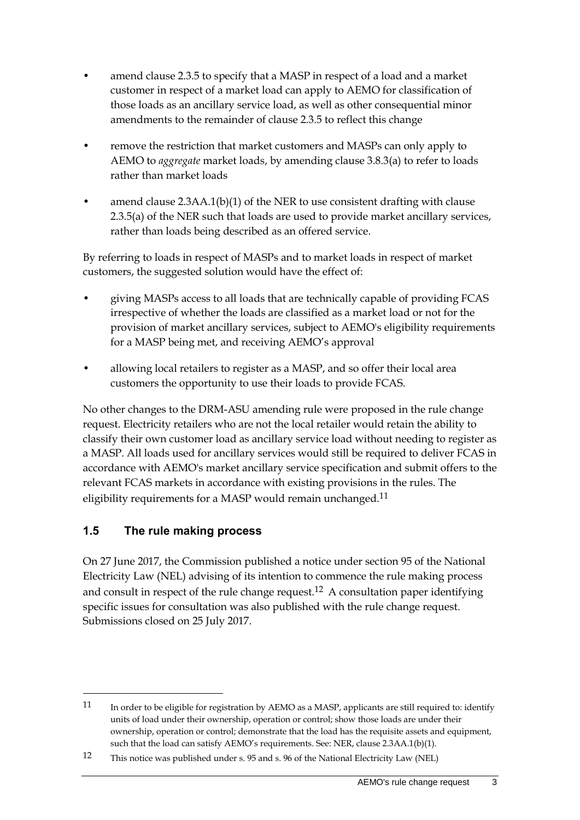- amend clause 2.3.5 to specify that a MASP in respect of a load and a market customer in respect of a market load can apply to AEMO for classification of those loads as an ancillary service load, as well as other consequential minor amendments to the remainder of clause 2.3.5 to reflect this change
- remove the restriction that market customers and MASPs can only apply to AEMO to *aggregate* market loads, by amending clause 3.8.3(a) to refer to loads rather than market loads
- amend clause  $2.3AA.1(b)(1)$  of the NER to use consistent drafting with clause 2.3.5(a) of the NER such that loads are used to provide market ancillary services, rather than loads being described as an offered service.

By referring to loads in respect of MASPs and to market loads in respect of market customers, the suggested solution would have the effect of:

- giving MASPs access to all loads that are technically capable of providing FCAS irrespective of whether the loads are classified as a market load or not for the provision of market ancillary services, subject to AEMO's eligibility requirements for a MASP being met, and receiving AEMO's approval
- allowing local retailers to register as a MASP, and so offer their local area customers the opportunity to use their loads to provide FCAS.

No other changes to the DRM-ASU amending rule were proposed in the rule change request. Electricity retailers who are not the local retailer would retain the ability to classify their own customer load as ancillary service load without needing to register as a MASP. All loads used for ancillary services would still be required to deliver FCAS in accordance with AEMO's market ancillary service specification and submit offers to the relevant FCAS markets in accordance with existing provisions in the rules. The eligibility requirements for a MASP would remain unchanged.<sup>11</sup>

#### <span id="page-6-0"></span>**1.5 The rule making process**

<u>.</u>

On 27 June 2017, the Commission published a notice under section 95 of the National Electricity Law (NEL) advising of its intention to commence the rule making process and consult in respect of the rule change request.<sup>12</sup> A consultation paper identifying specific issues for consultation was also published with the rule change request. Submissions closed on 25 July 2017.

<sup>11</sup> In order to be eligible for registration by AEMO as a MASP, applicants are still required to: identify units of load under their ownership, operation or control; show those loads are under their ownership, operation or control; demonstrate that the load has the requisite assets and equipment, such that the load can satisfy AEMO's requirements. See: NER, clause 2.3AA.1(b)(1).

<sup>12</sup> This notice was published under s. 95 and s. 96 of the National Electricity Law (NEL)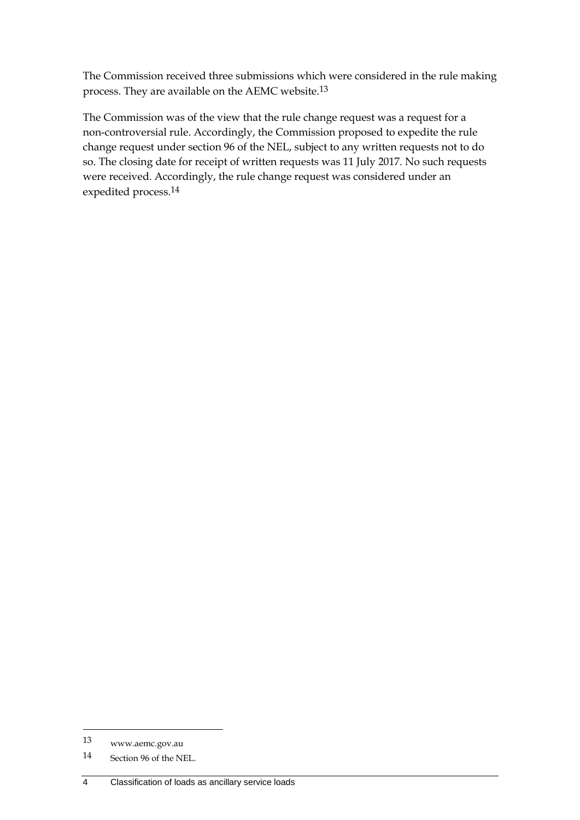The Commission received three submissions which were considered in the rule making process. They are available on the AEMC website.13

The Commission was of the view that the rule change request was a request for a non-controversial rule. Accordingly, the Commission proposed to expedite the rule change request under section 96 of the NEL, subject to any written requests not to do so. The closing date for receipt of written requests was 11 July 2017. No such requests were received. Accordingly, the rule change request was considered under an expedited process.14

1

<sup>13</sup> www.aemc.gov.au

<sup>14</sup> Section 96 of the NEL.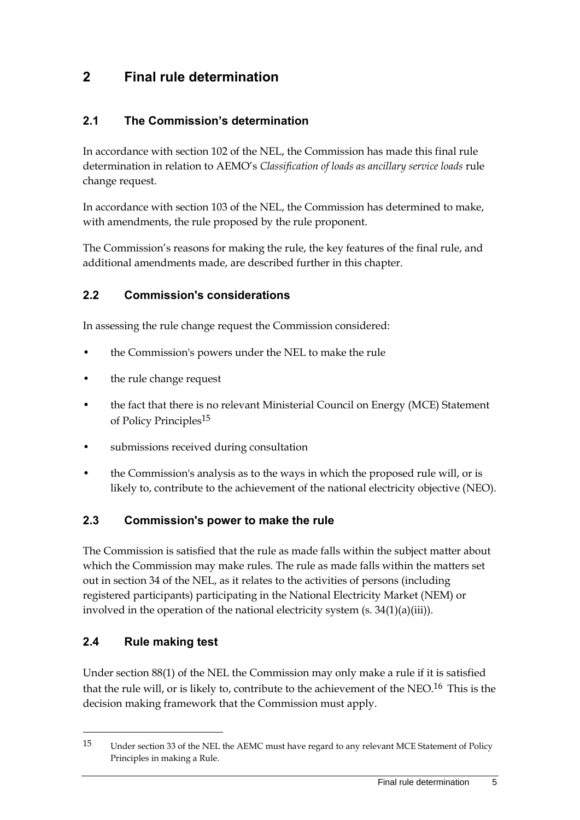### <span id="page-8-0"></span>**2 Final rule determination**

#### <span id="page-8-1"></span>**2.1 The Commission's determination**

In accordance with section 102 of the NEL, the Commission has made this final rule determination in relation to AEMO's *Classification of loads as ancillary service loads* rule change request.

In accordance with section 103 of the NEL, the Commission has determined to make, with amendments, the rule proposed by the rule proponent.

The Commission's reasons for making the rule, the key features of the final rule, and additional amendments made, are described further in this chapter.

#### <span id="page-8-2"></span>**2.2 Commission's considerations**

In assessing the rule change request the Commission considered:

- the Commission's powers under the NEL to make the rule
- the rule change request
- the fact that there is no relevant Ministerial Council on Energy (MCE) Statement of Policy Principles15
- submissions received during consultation
- the Commission's analysis as to the ways in which the proposed rule will, or is likely to, contribute to the achievement of the national electricity objective (NEO).

#### <span id="page-8-3"></span>**2.3 Commission's power to make the rule**

The Commission is satisfied that the rule as made falls within the subject matter about which the Commission may make rules. The rule as made falls within the matters set out in section 34 of the NEL, as it relates to the activities of persons (including registered participants) participating in the National Electricity Market (NEM) or involved in the operation of the national electricity system (s. 34(1)(a)(iii)).

#### <span id="page-8-4"></span>**2.4 Rule making test**

1

Under section 88(1) of the NEL the Commission may only make a rule if it is satisfied that the rule will, or is likely to, contribute to the achievement of the NEO.<sup>16</sup> This is the decision making framework that the Commission must apply.

<sup>15</sup> Under section 33 of the NEL the AEMC must have regard to any relevant MCE Statement of Policy Principles in making a Rule.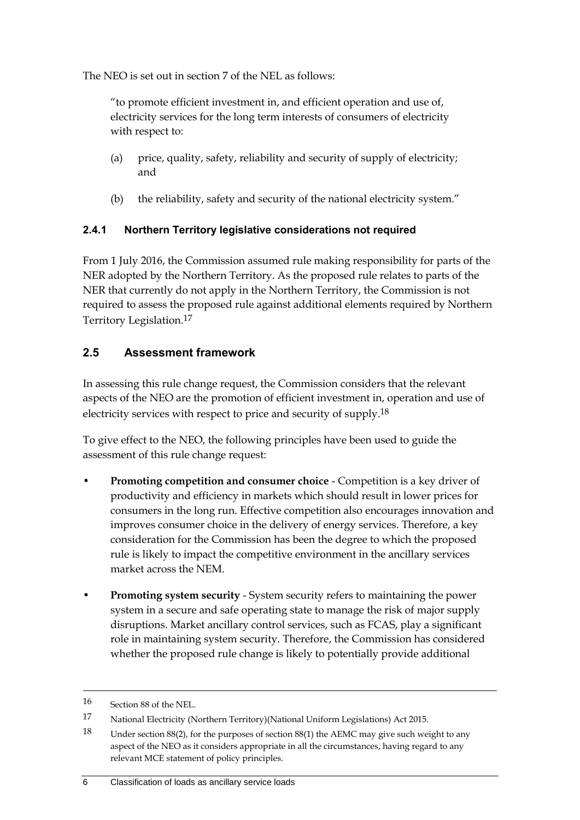The NEO is set out in section 7 of the NEL as follows:

"to promote efficient investment in, and efficient operation and use of, electricity services for the long term interests of consumers of electricity with respect to:

- (a) price, quality, safety, reliability and security of supply of electricity; and
- (b) the reliability, safety and security of the national electricity system."

#### **2.4.1 Northern Territory legislative considerations not required**

From 1 July 2016, the Commission assumed rule making responsibility for parts of the NER adopted by the Northern Territory. As the proposed rule relates to parts of the NER that currently do not apply in the Northern Territory, the Commission is not required to assess the proposed rule against additional elements required by Northern Territory Legislation.17

#### <span id="page-9-0"></span>**2.5 Assessment framework**

In assessing this rule change request, the Commission considers that the relevant aspects of the NEO are the promotion of efficient investment in, operation and use of electricity services with respect to price and security of supply.18

To give effect to the NEO, the following principles have been used to guide the assessment of this rule change request:

- **Promoting competition and consumer choice** Competition is a key driver of productivity and efficiency in markets which should result in lower prices for consumers in the long run. Effective competition also encourages innovation and improves consumer choice in the delivery of energy services. Therefore, a key consideration for the Commission has been the degree to which the proposed rule is likely to impact the competitive environment in the ancillary services market across the NEM.
- **Promoting system security** System security refers to maintaining the power system in a secure and safe operating state to manage the risk of major supply disruptions. Market ancillary control services, such as FCAS, play a significant role in maintaining system security. Therefore, the Commission has considered whether the proposed rule change is likely to potentially provide additional

<sup>16</sup> Section 88 of the NEL.

<sup>17</sup> National Electricity (Northern Territory)(National Uniform Legislations) Act 2015.

<sup>18</sup> Under section 88(2), for the purposes of section 88(1) the AEMC may give such weight to any aspect of the NEO as it considers appropriate in all the circumstances, having regard to any relevant MCE statement of policy principles.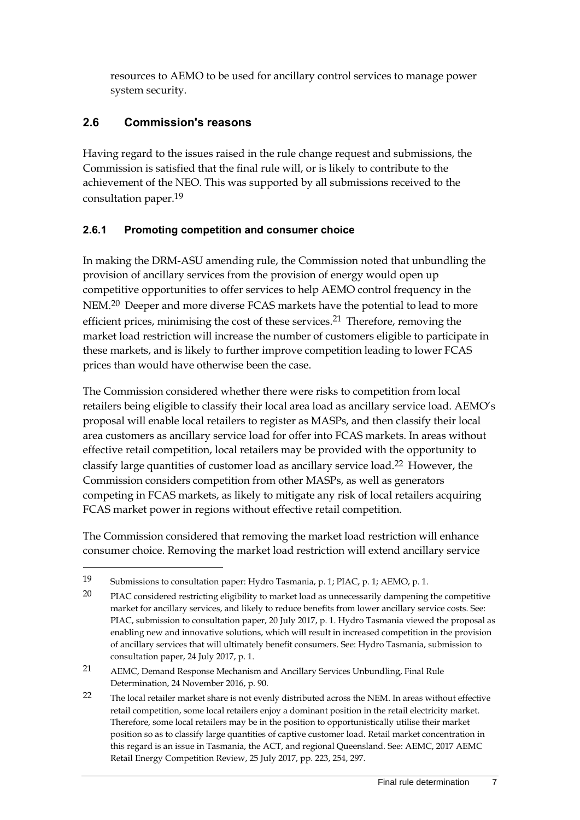resources to AEMO to be used for ancillary control services to manage power system security.

#### <span id="page-10-0"></span>**2.6 Commission's reasons**

<u>.</u>

Having regard to the issues raised in the rule change request and submissions, the Commission is satisfied that the final rule will, or is likely to contribute to the achievement of the NEO. This was supported by all submissions received to the consultation paper.19

#### **2.6.1 Promoting competition and consumer choice**

In making the DRM-ASU amending rule, the Commission noted that unbundling the provision of ancillary services from the provision of energy would open up competitive opportunities to offer services to help AEMO control frequency in the NEM.20 Deeper and more diverse FCAS markets have the potential to lead to more efficient prices, minimising the cost of these services.21 Therefore, removing the market load restriction will increase the number of customers eligible to participate in these markets, and is likely to further improve competition leading to lower FCAS prices than would have otherwise been the case.

The Commission considered whether there were risks to competition from local retailers being eligible to classify their local area load as ancillary service load. AEMO's proposal will enable local retailers to register as MASPs, and then classify their local area customers as ancillary service load for offer into FCAS markets. In areas without effective retail competition, local retailers may be provided with the opportunity to classify large quantities of customer load as ancillary service load.22 However, the Commission considers competition from other MASPs, as well as generators competing in FCAS markets, as likely to mitigate any risk of local retailers acquiring FCAS market power in regions without effective retail competition.

The Commission considered that removing the market load restriction will enhance consumer choice. Removing the market load restriction will extend ancillary service

<sup>19</sup> Submissions to consultation paper: Hydro Tasmania, p. 1; PIAC, p. 1; AEMO, p. 1.

<sup>20</sup> PIAC considered restricting eligibility to market load as unnecessarily dampening the competitive market for ancillary services, and likely to reduce benefits from lower ancillary service costs. See: PIAC, submission to consultation paper, 20 July 2017, p. 1. Hydro Tasmania viewed the proposal as enabling new and innovative solutions, which will result in increased competition in the provision of ancillary services that will ultimately benefit consumers. See: Hydro Tasmania, submission to consultation paper, 24 July 2017, p. 1.

<sup>21</sup> AEMC, Demand Response Mechanism and Ancillary Services Unbundling, Final Rule Determination, 24 November 2016, p. 90.

<sup>22</sup> The local retailer market share is not evenly distributed across the NEM. In areas without effective retail competition, some local retailers enjoy a dominant position in the retail electricity market. Therefore, some local retailers may be in the position to opportunistically utilise their market position so as to classify large quantities of captive customer load. Retail market concentration in this regard is an issue in Tasmania, the ACT, and regional Queensland. See: AEMC, 2017 AEMC Retail Energy Competition Review, 25 July 2017, pp. 223, 254, 297.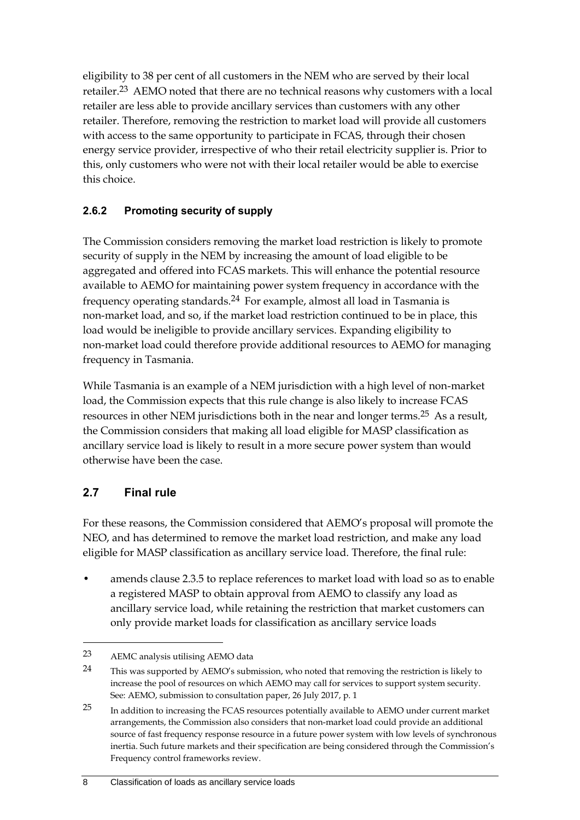eligibility to 38 per cent of all customers in the NEM who are served by their local retailer.23 AEMO noted that there are no technical reasons why customers with a local retailer are less able to provide ancillary services than customers with any other retailer. Therefore, removing the restriction to market load will provide all customers with access to the same opportunity to participate in FCAS, through their chosen energy service provider, irrespective of who their retail electricity supplier is. Prior to this, only customers who were not with their local retailer would be able to exercise this choice.

#### **2.6.2 Promoting security of supply**

The Commission considers removing the market load restriction is likely to promote security of supply in the NEM by increasing the amount of load eligible to be aggregated and offered into FCAS markets. This will enhance the potential resource available to AEMO for maintaining power system frequency in accordance with the frequency operating standards.24 For example, almost all load in Tasmania is non-market load, and so, if the market load restriction continued to be in place, this load would be ineligible to provide ancillary services. Expanding eligibility to non-market load could therefore provide additional resources to AEMO for managing frequency in Tasmania.

While Tasmania is an example of a NEM jurisdiction with a high level of non-market load, the Commission expects that this rule change is also likely to increase FCAS resources in other NEM jurisdictions both in the near and longer terms.25 As a result, the Commission considers that making all load eligible for MASP classification as ancillary service load is likely to result in a more secure power system than would otherwise have been the case.

#### <span id="page-11-0"></span>**2.7 Final rule**

<u>.</u>

For these reasons, the Commission considered that AEMO's proposal will promote the NEO, and has determined to remove the market load restriction, and make any load eligible for MASP classification as ancillary service load. Therefore, the final rule:

• amends clause 2.3.5 to replace references to market load with load so as to enable a registered MASP to obtain approval from AEMO to classify any load as ancillary service load, while retaining the restriction that market customers can only provide market loads for classification as ancillary service loads

<sup>23</sup> AEMC analysis utilising AEMO data

<sup>&</sup>lt;sup>24</sup> This was supported by AEMO's submission, who noted that removing the restriction is likely to increase the pool of resources on which AEMO may call for services to support system security. See: AEMO, submission to consultation paper, 26 July 2017, p. 1

<sup>25</sup> In addition to increasing the FCAS resources potentially available to AEMO under current market arrangements, the Commission also considers that non-market load could provide an additional source of fast frequency response resource in a future power system with low levels of synchronous inertia. Such future markets and their specification are being considered through the Commission's Frequency control frameworks review.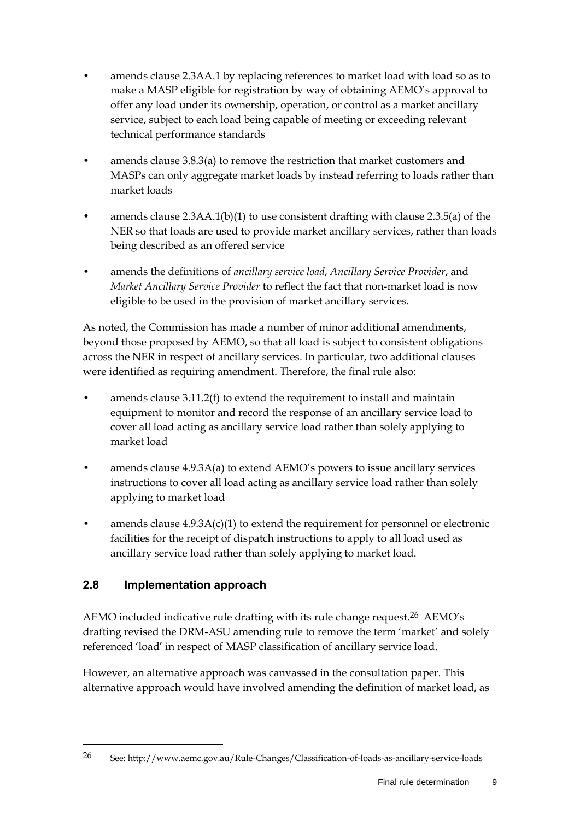- amends clause 2.3AA.1 by replacing references to market load with load so as to make a MASP eligible for registration by way of obtaining AEMO's approval to offer any load under its ownership, operation, or control as a market ancillary service, subject to each load being capable of meeting or exceeding relevant technical performance standards
- amends clause 3.8.3(a) to remove the restriction that market customers and MASPs can only aggregate market loads by instead referring to loads rather than market loads
- amends clause  $2.3AA.1(b)(1)$  to use consistent drafting with clause  $2.3.5(a)$  of the NER so that loads are used to provide market ancillary services, rather than loads being described as an offered service
- amends the definitions of *ancillary service load*, *Ancillary Service Provider*, and *Market Ancillary Service Provider* to reflect the fact that non-market load is now eligible to be used in the provision of market ancillary services.

As noted, the Commission has made a number of minor additional amendments, beyond those proposed by AEMO, so that all load is subject to consistent obligations across the NER in respect of ancillary services. In particular, two additional clauses were identified as requiring amendment. Therefore, the final rule also:

- amends clause 3.11.2(f) to extend the requirement to install and maintain equipment to monitor and record the response of an ancillary service load to cover all load acting as ancillary service load rather than solely applying to market load
- amends clause 4.9.3A(a) to extend AEMO's powers to issue ancillary services instructions to cover all load acting as ancillary service load rather than solely applying to market load
- amends clause 4.9.3A(c)(1) to extend the requirement for personnel or electronic facilities for the receipt of dispatch instructions to apply to all load used as ancillary service load rather than solely applying to market load.

### <span id="page-12-0"></span>**2.8 Implementation approach**

1

AEMO included indicative rule drafting with its rule change request.<sup>26</sup> AEMO's drafting revised the DRM-ASU amending rule to remove the term 'market' and solely referenced 'load' in respect of MASP classification of ancillary service load.

However, an alternative approach was canvassed in the consultation paper. This alternative approach would have involved amending the definition of market load, as

<sup>26</sup> See: http://www.aemc.gov.au/Rule-Changes/Classification-of-loads-as-ancillary-service-loads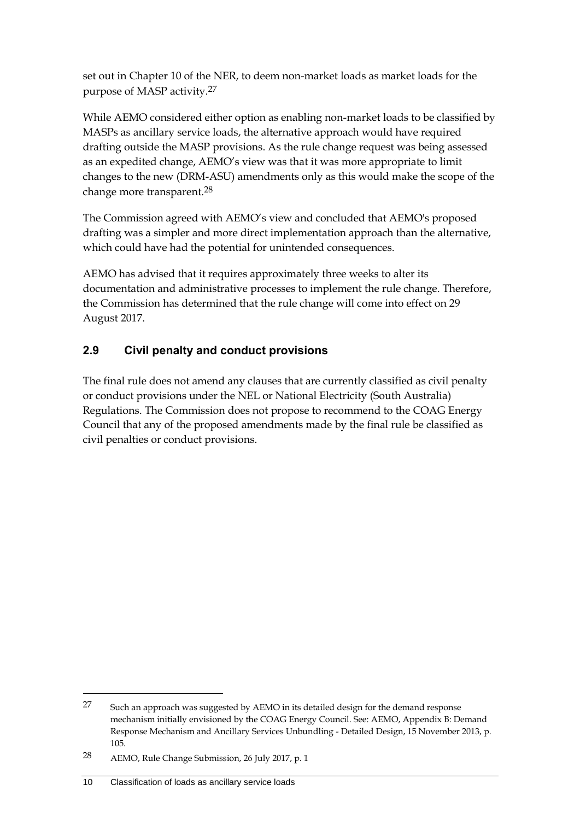set out in Chapter 10 of the NER, to deem non-market loads as market loads for the purpose of MASP activity.27

While AEMO considered either option as enabling non-market loads to be classified by MASPs as ancillary service loads, the alternative approach would have required drafting outside the MASP provisions. As the rule change request was being assessed as an expedited change, AEMO's view was that it was more appropriate to limit changes to the new (DRM-ASU) amendments only as this would make the scope of the change more transparent.28

The Commission agreed with AEMO's view and concluded that AEMO's proposed drafting was a simpler and more direct implementation approach than the alternative, which could have had the potential for unintended consequences.

AEMO has advised that it requires approximately three weeks to alter its documentation and administrative processes to implement the rule change. Therefore, the Commission has determined that the rule change will come into effect on 29 August 2017.

### <span id="page-13-0"></span>**2.9 Civil penalty and conduct provisions**

The final rule does not amend any clauses that are currently classified as civil penalty or conduct provisions under the NEL or National Electricity (South Australia) Regulations. The Commission does not propose to recommend to the COAG Energy Council that any of the proposed amendments made by the final rule be classified as civil penalties or conduct provisions.

<sup>27</sup> Such an approach was suggested by AEMO in its detailed design for the demand response mechanism initially envisioned by the COAG Energy Council. See: AEMO, Appendix B: Demand Response Mechanism and Ancillary Services Unbundling - Detailed Design, 15 November 2013, p. 105.

<sup>28</sup> AEMO, Rule Change Submission, 26 July 2017, p. 1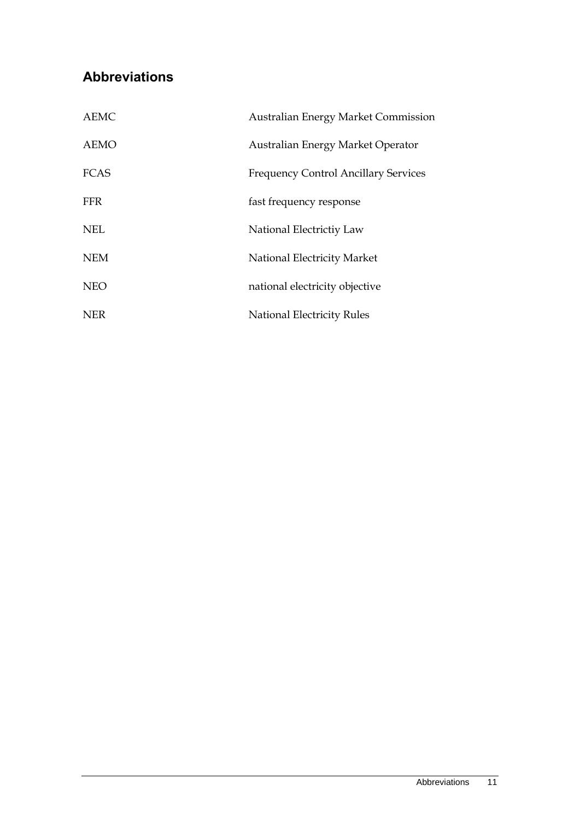## <span id="page-14-0"></span>**Abbreviations**

| <b>AEMC</b> | <b>Australian Energy Market Commission</b>  |
|-------------|---------------------------------------------|
| <b>AEMO</b> | Australian Energy Market Operator           |
| <b>FCAS</b> | <b>Frequency Control Ancillary Services</b> |
| <b>FFR</b>  | fast frequency response                     |
| <b>NEL</b>  | National Electrictiy Law                    |
| <b>NEM</b>  | National Electricity Market                 |
| <b>NEO</b>  | national electricity objective              |
| <b>NER</b>  | <b>National Electricity Rules</b>           |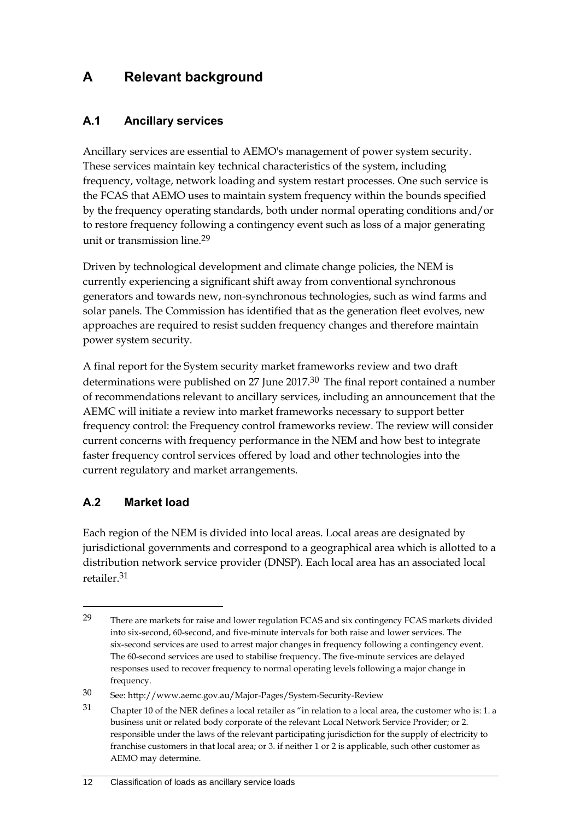## <span id="page-15-0"></span>**A Relevant background**

#### <span id="page-15-1"></span>**A.1 Ancillary services**

Ancillary services are essential to AEMO's management of power system security. These services maintain key technical characteristics of the system, including frequency, voltage, network loading and system restart processes. One such service is the FCAS that AEMO uses to maintain system frequency within the bounds specified by the frequency operating standards, both under normal operating conditions and/or to restore frequency following a contingency event such as loss of a major generating unit or transmission line.29

Driven by technological development and climate change policies, the NEM is currently experiencing a significant shift away from conventional synchronous generators and towards new, non-synchronous technologies, such as wind farms and solar panels. The Commission has identified that as the generation fleet evolves, new approaches are required to resist sudden frequency changes and therefore maintain power system security.

A final report for the System security market frameworks review and two draft determinations were published on 27 June 2017.<sup>30</sup> The final report contained a number of recommendations relevant to ancillary services, including an announcement that the AEMC will initiate a review into market frameworks necessary to support better frequency control: the Frequency control frameworks review. The review will consider current concerns with frequency performance in the NEM and how best to integrate faster frequency control services offered by load and other technologies into the current regulatory and market arrangements.

#### <span id="page-15-2"></span>**A.2 Market load**

<u>.</u>

Each region of the NEM is divided into local areas. Local areas are designated by jurisdictional governments and correspond to a geographical area which is allotted to a distribution network service provider (DNSP). Each local area has an associated local retailer.31

<sup>29</sup> There are markets for raise and lower regulation FCAS and six contingency FCAS markets divided into six-second, 60-second, and five-minute intervals for both raise and lower services. The six-second services are used to arrest major changes in frequency following a contingency event. The 60-second services are used to stabilise frequency. The five-minute services are delayed responses used to recover frequency to normal operating levels following a major change in frequency.

<sup>30</sup> See: http://www.aemc.gov.au/Major-Pages/System-Security-Review

<sup>31</sup> Chapter 10 of the NER defines a local retailer as "in relation to a local area, the customer who is: 1. a business unit or related body corporate of the relevant Local Network Service Provider; or 2. responsible under the laws of the relevant participating jurisdiction for the supply of electricity to franchise customers in that local area; or 3. if neither 1 or 2 is applicable, such other customer as AEMO may determine.